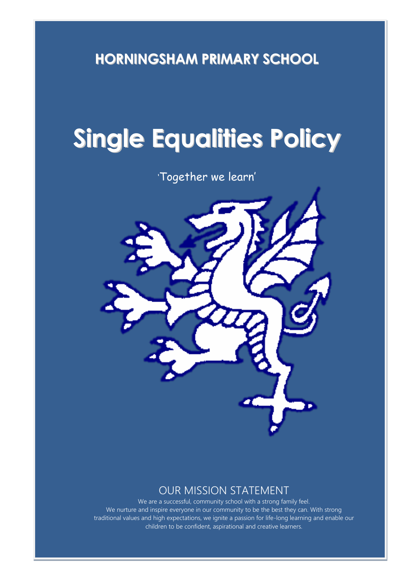**HORNINGSHAM PRIMARY SCHOOL**

# **Single Equalities Policy**

'Together we learn'



# OUR MISSION STATEMENT

We are a successful, community school with a strong family feel. We nurture and inspire everyone in our community to be the best they can. With strong traditional values and high expectations, we ignite a passion for life-long learning and enable our children to be confident, aspirational and creative learners.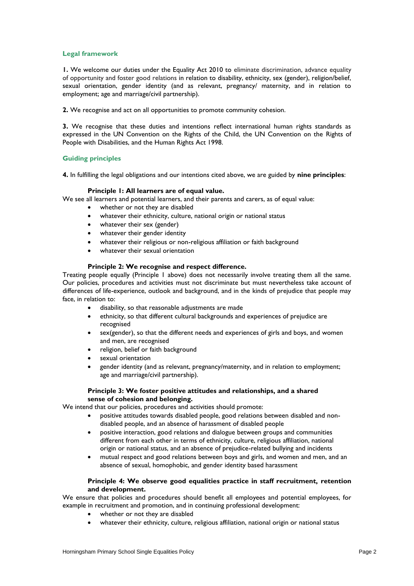# **Legal framework**

**1.** We welcome our duties under the Equality Act 2010 to eliminate discrimination, advance equality of opportunity and foster good relations in relation to disability, ethnicity, sex (gender), religion/belief, sexual orientation, gender identity (and as relevant, pregnancy/ maternity, and in relation to employment; age and marriage/civil partnership).

**2.** We recognise and act on all opportunities to promote community cohesion.

**3.** We recognise that these duties and intentions reflect international human rights standards as expressed in the UN Convention on the Rights of the Child, the UN Convention on the Rights of People with Disabilities, and the Human Rights Act 1998.

# **Guiding principles**

**4.** In fulfilling the legal obligations and our intentions cited above, we are guided by **nine principles**:

#### **Principle 1: All learners are of equal value.**

We see all learners and potential learners, and their parents and carers, as of equal value:

- whether or not they are disabled
- whatever their ethnicity, culture, national origin or national status
- whatever their sex (gender)
- whatever their gender identity
- whatever their religious or non-religious affiliation or faith background
- whatever their sexual orientation

#### **Principle 2: We recognise and respect difference.**

Treating people equally (Principle 1 above) does not necessarily involve treating them all the same. Our policies, procedures and activities must not discriminate but must nevertheless take account of differences of life-experience, outlook and background, and in the kinds of prejudice that people may face, in relation to:

- disability, so that reasonable adjustments are made
- ethnicity, so that different cultural backgrounds and experiences of prejudice are recognised
- sex(gender), so that the different needs and experiences of girls and boys, and women and men, are recognised
- religion, belief or faith background
- sexual orientation
- gender identity (and as relevant, pregnancy/maternity, and in relation to employment; age and marriage/civil partnership).

#### **Principle 3: We foster positive attitudes and relationships, and a shared sense of cohesion and belonging.**

We intend that our policies, procedures and activities should promote:

- positive attitudes towards disabled people, good relations between disabled and nondisabled people, and an absence of harassment of disabled people
- positive interaction, good relations and dialogue between groups and communities different from each other in terms of ethnicity, culture, religious affiliation, national origin or national status, and an absence of prejudice-related bullying and incidents
- mutual respect and good relations between boys and girls, and women and men, and an absence of sexual, homophobic, and gender identity based harassment

#### **Principle 4: We observe good equalities practice in staff recruitment, retention and development.**

We ensure that policies and procedures should benefit all employees and potential employees, for example in recruitment and promotion, and in continuing professional development:

- whether or not they are disabled
- whatever their ethnicity, culture, religious affiliation, national origin or national status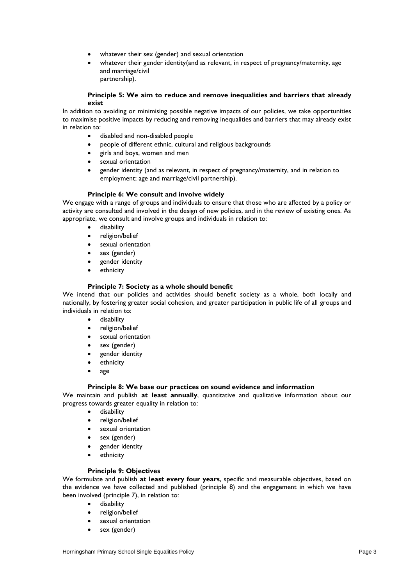- whatever their sex (gender) and sexual orientation
- whatever their gender identity(and as relevant, in respect of pregnancy/maternity, age and marriage/civil partnership).
- **Principle 5: We aim to reduce and remove inequalities and barriers that already exist**

In addition to avoiding or minimising possible negative impacts of our policies, we take opportunities to maximise positive impacts by reducing and removing inequalities and barriers that may already exist in relation to:

- disabled and non-disabled people
- people of different ethnic, cultural and religious backgrounds
- girls and boys, women and men
- sexual orientation
- gender identity (and as relevant, in respect of pregnancy/maternity, and in relation to employment; age and marriage/civil partnership).

#### **Principle 6: We consult and involve widely**

We engage with a range of groups and individuals to ensure that those who are affected by a policy or activity are consulted and involved in the design of new policies, and in the review of existing ones. As appropriate, we consult and involve groups and individuals in relation to:

- disability
- religion/belief
- sexual orientation
- sex (gender)
- gender identity
- ethnicity

# **Principle 7: Society as a whole should benefit**

We intend that our policies and activities should benefit society as a whole, both locally and nationally, by fostering greater social cohesion, and greater participation in public life of all groups and individuals in relation to:

- **e** disability
- religion/belief
- sexual orientation
- sex (gender)
- gender identity
- ethnicity
- age

#### **Principle 8: We base our practices on sound evidence and information**

We maintain and publish **at least annually**, quantitative and qualitative information about our progress towards greater equality in relation to:

- disability
- religion/belief
- sexual orientation
- sex (gender)
- gender identity
- ethnicity

#### **Principle 9: Objectives**

We formulate and publish **at least every four years**, specific and measurable objectives, based on the evidence we have collected and published (principle 8) and the engagement in which we have been involved (principle 7), in relation to:

- disability
- religion/belief
- sexual orientation
- sex (gender)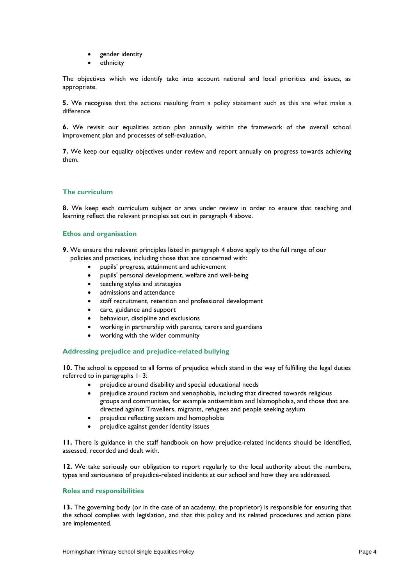- gender identity
- ethnicity

The objectives which we identify take into account national and local priorities and issues, as appropriate.

**5.** We recognise that the actions resulting from a policy statement such as this are what make a difference.

**6.** We revisit our equalities action plan annually within the framework of the overall school improvement plan and processes of self-evaluation.

**7.** We keep our equality objectives under review and report annually on progress towards achieving them.

# **The curriculum**

**8.** We keep each curriculum subject or area under review in order to ensure that teaching and learning reflect the relevant principles set out in paragraph 4 above.

# **Ethos and organisation**

**9.** We ensure the relevant principles listed in paragraph 4 above apply to the full range of our policies and practices, including those that are concerned with:

- pupils' progress, attainment and achievement
- pupils' personal development, welfare and well-being
- teaching styles and strategies
- admissions and attendance
- staff recruitment, retention and professional development
- care, guidance and support
- behaviour, discipline and exclusions
- working in partnership with parents, carers and guardians
- working with the wider community

# **Addressing prejudice and prejudice-related bullying**

**10.** The school is opposed to all forms of prejudice which stand in the way of fulfilling the legal duties referred to in paragraphs 1–3:

- prejudice around disability and special educational needs
- prejudice around racism and xenophobia, including that directed towards religious groups and communities, for example antisemitism and Islamophobia, and those that are directed against Travellers, migrants, refugees and people seeking asylum
- prejudice reflecting sexism and homophobia
- prejudice against gender identity issues

**11.** There is guidance in the staff handbook on how prejudice-related incidents should be identified, assessed, recorded and dealt with.

**12.** We take seriously our obligation to report regularly to the local authority about the numbers, types and seriousness of prejudice-related incidents at our school and how they are addressed.

## **Roles and responsibilities**

**13.** The governing body (or in the case of an academy, the proprietor) is responsible for ensuring that the school complies with legislation, and that this policy and its related procedures and action plans are implemented.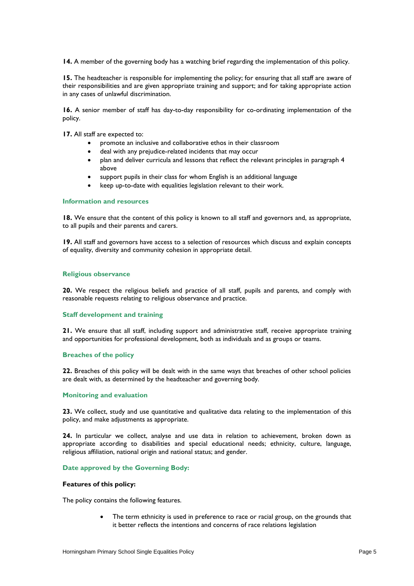**14.** A member of the governing body has a watching brief regarding the implementation of this policy.

**15.** The headteacher is responsible for implementing the policy; for ensuring that all staff are aware of their responsibilities and are given appropriate training and support; and for taking appropriate action in any cases of unlawful discrimination.

**16.** A senior member of staff has day-to-day responsibility for co-ordinating implementation of the policy.

**17.** All staff are expected to:

- promote an inclusive and collaborative ethos in their classroom
- deal with any prejudice-related incidents that may occur
- plan and deliver curricula and lessons that reflect the relevant principles in paragraph 4 above
- support pupils in their class for whom English is an additional language
- keep up-to-date with equalities legislation relevant to their work.

#### **Information and resources**

18. We ensure that the content of this policy is known to all staff and governors and, as appropriate, to all pupils and their parents and carers.

**19.** All staff and governors have access to a selection of resources which discuss and explain concepts of equality, diversity and community cohesion in appropriate detail.

#### **Religious observance**

**20.** We respect the religious beliefs and practice of all staff, pupils and parents, and comply with reasonable requests relating to religious observance and practice.

#### **Staff development and training**

**21.** We ensure that all staff, including support and administrative staff, receive appropriate training and opportunities for professional development, both as individuals and as groups or teams.

# **Breaches of the policy**

**22.** Breaches of this policy will be dealt with in the same ways that breaches of other school policies are dealt with, as determined by the headteacher and governing body.

#### **Monitoring and evaluation**

**23.** We collect, study and use quantitative and qualitative data relating to the implementation of this policy, and make adjustments as appropriate.

**24.** In particular we collect, analyse and use data in relation to achievement, broken down as appropriate according to disabilities and special educational needs; ethnicity, culture, language, religious affiliation, national origin and national status; and gender.

#### **Date approved by the Governing Body:**

#### **Features of this policy:**

The policy contains the following features.

 The term ethnicity is used in preference to race or racial group, on the grounds that it better reflects the intentions and concerns of race relations legislation